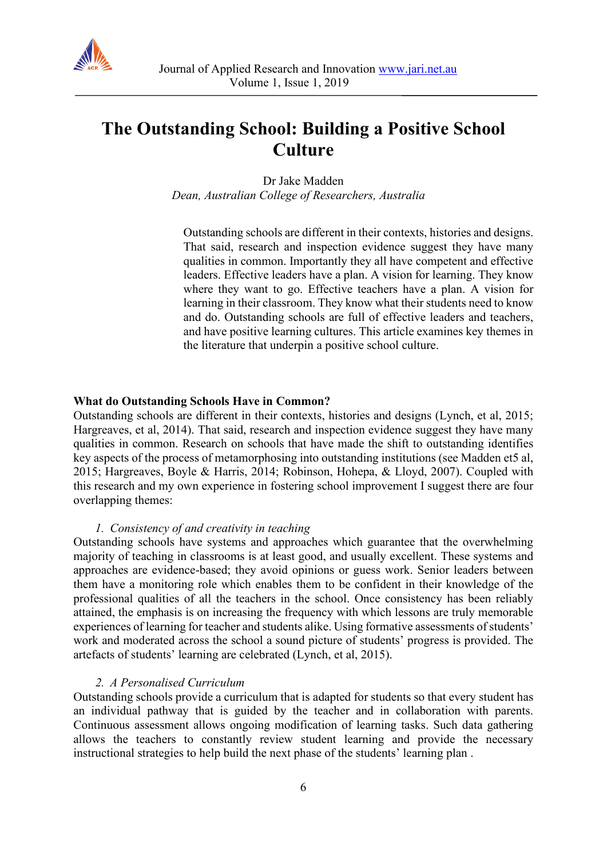

# **The Outstanding School: Building a Positive School Culture**

Dr Jake Madden *Dean, Australian College of Researchers, Australia*

Outstanding schools are different in their contexts, histories and designs. That said, research and inspection evidence suggest they have many qualities in common. Importantly they all have competent and effective leaders. Effective leaders have a plan. A vision for learning. They know where they want to go. Effective teachers have a plan. A vision for learning in their classroom. They know what their students need to know and do. Outstanding schools are full of effective leaders and teachers, and have positive learning cultures. This article examines key themes in the literature that underpin a positive school culture.

#### **What do Outstanding Schools Have in Common?**

Outstanding schools are different in their contexts, histories and designs (Lynch, et al, 2015; Hargreaves, et al, 2014). That said, research and inspection evidence suggest they have many qualities in common. Research on schools that have made the shift to outstanding identifies key aspects of the process of metamorphosing into outstanding institutions (see Madden et5 al, 2015; Hargreaves, Boyle & Harris, 2014; Robinson, Hohepa, & Lloyd, 2007). Coupled with this research and my own experience in fostering school improvement I suggest there are four overlapping themes:

#### *1. Consistency of and creativity in teaching*

Outstanding schools have systems and approaches which guarantee that the overwhelming majority of teaching in classrooms is at least good, and usually excellent. These systems and approaches are evidence-based; they avoid opinions or guess work. Senior leaders between them have a monitoring role which enables them to be confident in their knowledge of the professional qualities of all the teachers in the school. Once consistency has been reliably attained, the emphasis is on increasing the frequency with which lessons are truly memorable experiences of learning for teacher and students alike. Using formative assessments of students' work and moderated across the school a sound picture of students' progress is provided. The artefacts of students' learning are celebrated (Lynch, et al, 2015).

#### *2. A Personalised Curriculum*

Outstanding schools provide a curriculum that is adapted for students so that every student has an individual pathway that is guided by the teacher and in collaboration with parents. Continuous assessment allows ongoing modification of learning tasks. Such data gathering allows the teachers to constantly review student learning and provide the necessary instructional strategies to help build the next phase of the students' learning plan .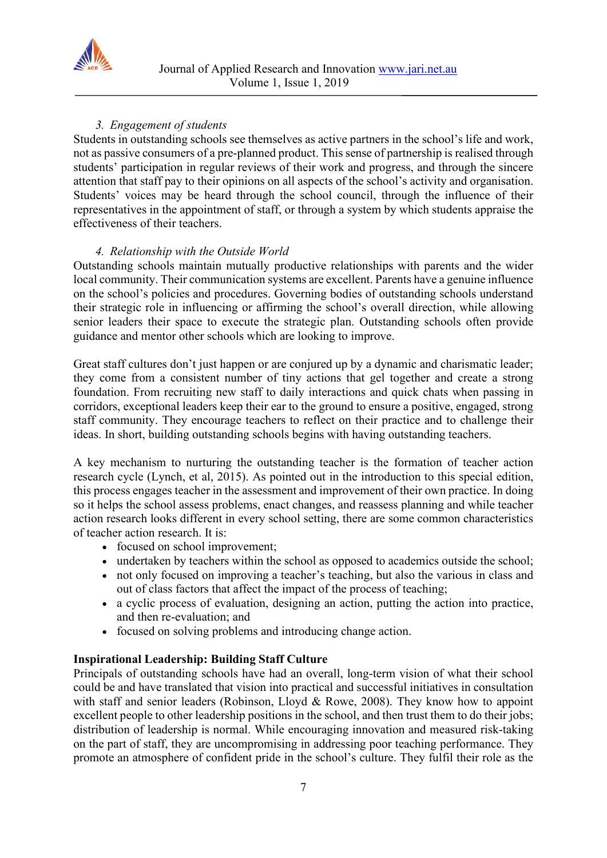

# *3. Engagement of students*

Students in outstanding schools see themselves as active partners in the school's life and work, not as passive consumers of a pre-planned product. This sense of partnership is realised through students' participation in regular reviews of their work and progress, and through the sincere attention that staff pay to their opinions on all aspects of the school's activity and organisation. Students' voices may be heard through the school council, through the influence of their representatives in the appointment of staff, or through a system by which students appraise the effectiveness of their teachers.

# *4. Relationship with the Outside World*

Outstanding schools maintain mutually productive relationships with parents and the wider local community. Their communication systems are excellent. Parents have a genuine influence on the school's policies and procedures. Governing bodies of outstanding schools understand their strategic role in influencing or affirming the school's overall direction, while allowing senior leaders their space to execute the strategic plan. Outstanding schools often provide guidance and mentor other schools which are looking to improve.

Great staff cultures don't just happen or are conjured up by a dynamic and charismatic leader; they come from a consistent number of tiny actions that gel together and create a strong foundation. From recruiting new staff to daily interactions and quick chats when passing in corridors, exceptional leaders keep their ear to the ground to ensure a positive, engaged, strong staff community. They encourage teachers to reflect on their practice and to challenge their ideas. In short, building outstanding schools begins with having outstanding teachers.

A key mechanism to nurturing the outstanding teacher is the formation of teacher action research cycle (Lynch, et al, 2015). As pointed out in the introduction to this special edition, this process engages teacher in the assessment and improvement of their own practice. In doing so it helps the school assess problems, enact changes, and reassess planning and while teacher action research looks different in every school setting, there are some common characteristics of teacher action research. It is:

- focused on school improvement;
- undertaken by teachers within the school as opposed to academics outside the school;
- not only focused on improving a teacher's teaching, but also the various in class and out of class factors that affect the impact of the process of teaching;
- a cyclic process of evaluation, designing an action, putting the action into practice, and then re-evaluation; and
- focused on solving problems and introducing change action.

# **Inspirational Leadership: Building Staff Culture**

Principals of outstanding schools have had an overall, long-term vision of what their school could be and have translated that vision into practical and successful initiatives in consultation with staff and senior leaders (Robinson, Lloyd & Rowe, 2008). They know how to appoint excellent people to other leadership positions in the school, and then trust them to do their jobs; distribution of leadership is normal. While encouraging innovation and measured risk-taking on the part of staff, they are uncompromising in addressing poor teaching performance. They promote an atmosphere of confident pride in the school's culture. They fulfil their role as the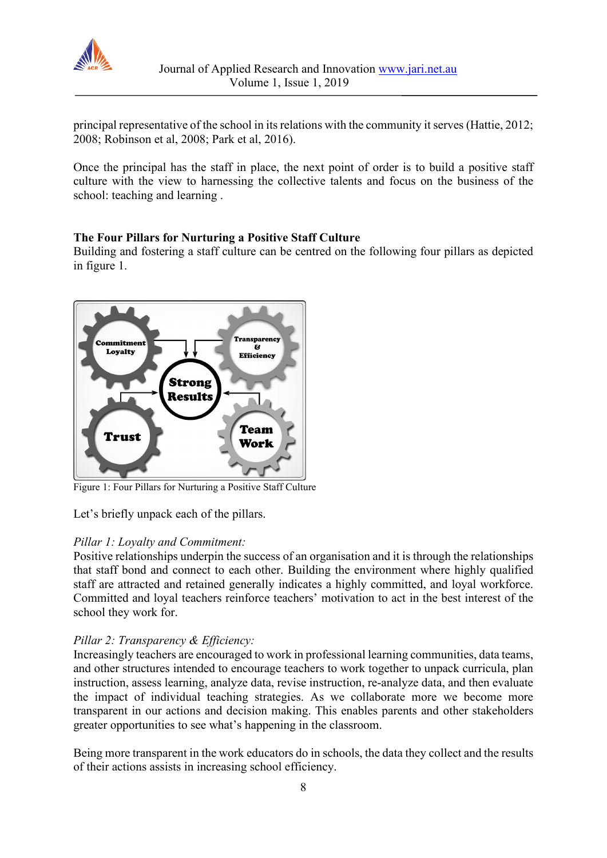

principal representative of the school in its relations with the community it serves (Hattie, 2012; 2008; Robinson et al, 2008; Park et al, 2016).

Once the principal has the staff in place, the next point of order is to build a positive staff culture with the view to harnessing the collective talents and focus on the business of the school: teaching and learning .

# **The Four Pillars for Nurturing a Positive Staff Culture**

Building and fostering a staff culture can be centred on the following four pillars as depicted in figure 1.



Figure 1: Four Pillars for Nurturing a Positive Staff Culture

Let's briefly unpack each of the pillars.

## *Pillar 1: Loyalty and Commitment:*

Positive relationships underpin the success of an organisation and it is through the relationships that staff bond and connect to each other. Building the environment where highly qualified staff are attracted and retained generally indicates a highly committed, and loyal workforce. Committed and loyal teachers reinforce teachers' motivation to act in the best interest of the school they work for.

## *Pillar 2: Transparency & Efficiency:*

Increasingly teachers are encouraged to work in professional learning communities, data teams, and other structures intended to encourage teachers to work together to unpack curricula, plan instruction, assess learning, analyze data, revise instruction, re-analyze data, and then evaluate the impact of individual teaching strategies. As we collaborate more we become more transparent in our actions and decision making. This enables parents and other stakeholders greater opportunities to see what's happening in the classroom.

Being more transparent in the work educators do in schools, the data they collect and the results of their actions assists in increasing school efficiency.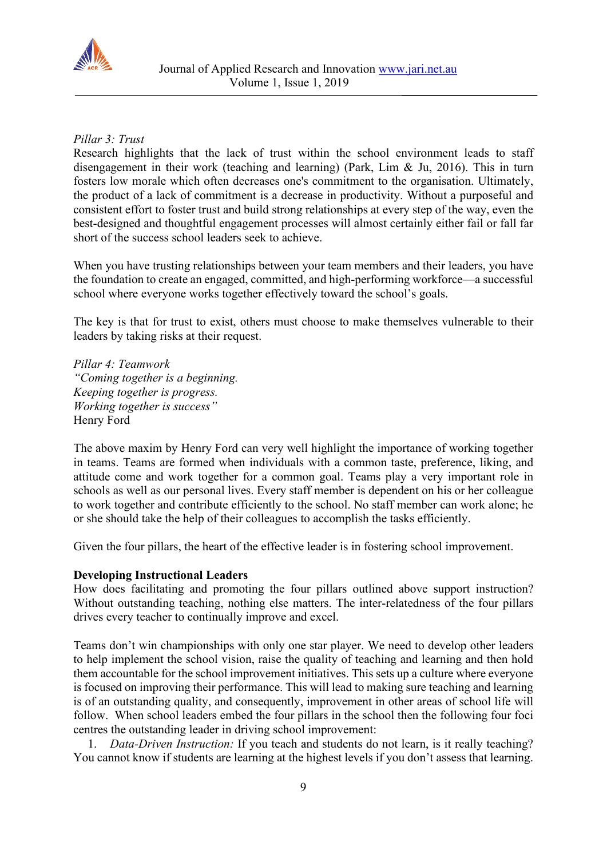

# *Pillar 3: Trust*

Research highlights that the lack of trust within the school environment leads to staff disengagement in their work (teaching and learning) (Park, Lim & Ju, 2016). This in turn fosters low morale which often decreases one's commitment to the organisation. Ultimately, the product of a lack of commitment is a decrease in productivity. Without a purposeful and consistent effort to foster trust and build strong relationships at every step of the way, even the best-designed and thoughtful engagement processes will almost certainly either fail or fall far short of the success school leaders seek to achieve.

When you have trusting relationships between your team members and their leaders, you have the foundation to create an engaged, committed, and high-performing workforce—a successful school where everyone works together effectively toward the school's goals.

The key is that for trust to exist, others must choose to make themselves vulnerable to their leaders by taking risks at their request.

*Pillar 4: Teamwork "Coming together is a beginning. Keeping together is progress. Working together is success"* Henry Ford

The above maxim by Henry Ford can very well highlight the importance of working together in teams. Teams are formed when individuals with a common taste, preference, liking, and attitude come and work together for a common goal. Teams play a very important role in schools as well as our personal lives. Every staff member is dependent on his or her colleague to work together and contribute efficiently to the school. No staff member can work alone; he or she should take the help of their colleagues to accomplish the tasks efficiently.

Given the four pillars, the heart of the effective leader is in fostering school improvement.

## **Developing Instructional Leaders**

How does facilitating and promoting the four pillars outlined above support instruction? Without outstanding teaching, nothing else matters. The inter-relatedness of the four pillars drives every teacher to continually improve and excel.

Teams don't win championships with only one star player. We need to develop other leaders to help implement the school vision, raise the quality of teaching and learning and then hold them accountable for the school improvement initiatives. This sets up a culture where everyone is focused on improving their performance. This will lead to making sure teaching and learning is of an outstanding quality, and consequently, improvement in other areas of school life will follow. When school leaders embed the four pillars in the school then the following four foci centres the outstanding leader in driving school improvement:

1. *Data-Driven Instruction:* If you teach and students do not learn, is it really teaching? You cannot know if students are learning at the highest levels if you don't assess that learning.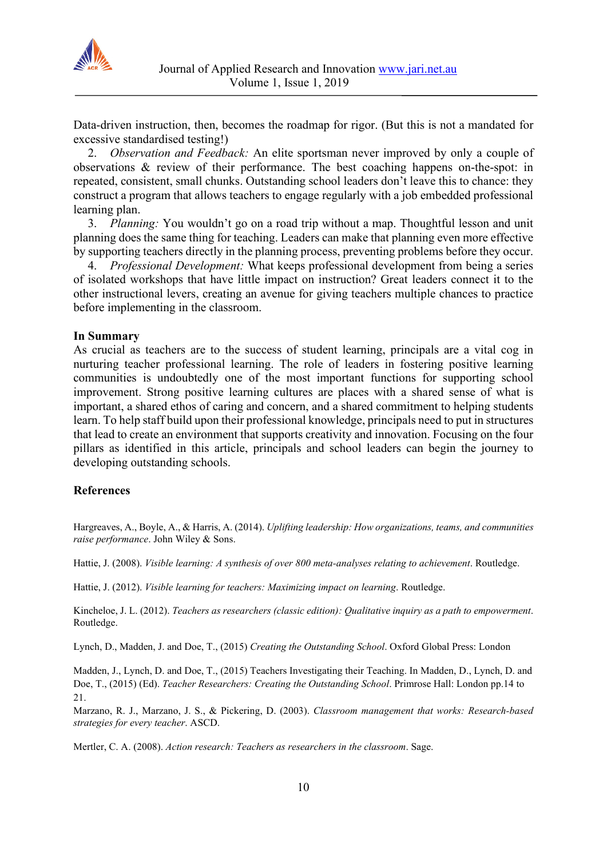

Data-driven instruction, then, becomes the roadmap for rigor. (But this is not a mandated for excessive standardised testing!)

2. *Observation and Feedback:* An elite sportsman never improved by only a couple of observations & review of their performance. The best coaching happens on-the-spot: in repeated, consistent, small chunks. Outstanding school leaders don't leave this to chance: they construct a program that allows teachers to engage regularly with a job embedded professional learning plan.

3. *Planning:* You wouldn't go on a road trip without a map. Thoughtful lesson and unit planning does the same thing for teaching. Leaders can make that planning even more effective by supporting teachers directly in the planning process, preventing problems before they occur.

4. *Professional Development:* What keeps professional development from being a series of isolated workshops that have little impact on instruction? Great leaders connect it to the other instructional levers, creating an avenue for giving teachers multiple chances to practice before implementing in the classroom.

#### **In Summary**

As crucial as teachers are to the success of student learning, principals are a vital cog in nurturing teacher professional learning. The role of leaders in fostering positive learning communities is undoubtedly one of the most important functions for supporting school improvement. Strong positive learning cultures are places with a shared sense of what is important, a shared ethos of caring and concern, and a shared commitment to helping students learn. To help staff build upon their professional knowledge, principals need to put in structures that lead to create an environment that supports creativity and innovation. Focusing on the four pillars as identified in this article, principals and school leaders can begin the journey to developing outstanding schools.

## **References**

Hargreaves, A., Boyle, A., & Harris, A. (2014). *Uplifting leadership: How organizations, teams, and communities raise performance*. John Wiley & Sons.

Hattie, J. (2008). *Visible learning: A synthesis of over 800 meta-analyses relating to achievement*. Routledge.

Hattie, J. (2012). *Visible learning for teachers: Maximizing impact on learning*. Routledge.

Kincheloe, J. L. (2012). *Teachers as researchers (classic edition): Qualitative inquiry as a path to empowerment*. Routledge.

Lynch, D., Madden, J. and Doe, T., (2015) *Creating the Outstanding School*. Oxford Global Press: London

Madden, J., Lynch, D. and Doe, T., (2015) Teachers Investigating their Teaching. In Madden, D., Lynch, D. and Doe, T., (2015) (Ed). *Teacher Researchers: Creating the Outstanding School*. Primrose Hall: London pp.14 to 21.

Marzano, R. J., Marzano, J. S., & Pickering, D. (2003). *Classroom management that works: Research-based strategies for every teacher*. ASCD.

Mertler, C. A. (2008). *Action research: Teachers as researchers in the classroom*. Sage.